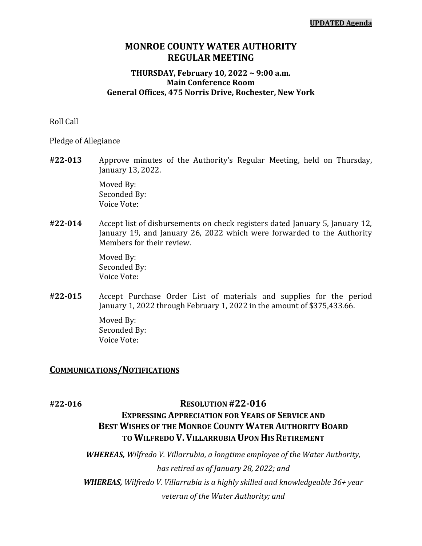# **MONROE COUNTY WATER AUTHORITY REGULAR MEETING**

### **THURSDAY, February 10, 2022 ~ 9:00 a.m. Main Conference Room General Offices, 475 Norris Drive, Rochester, New York**

Roll Call

Pledge of Allegiance

**#22-013** Approve minutes of the Authority's Regular Meeting, held on Thursday, January 13, 2022.

> Moved By: Seconded By: Voice Vote:

**#22-014** Accept list of disbursements on check registers dated January 5, January 12, January 19, and January 26, 2022 which were forwarded to the Authority Members for their review.

> Moved By: Seconded By: Voice Vote:

**#22-015** Accept Purchase Order List of materials and supplies for the period January 1, 2022 through February 1, 2022 in the amount of \$375,433.66.

> Moved By: Seconded By: Voice Vote:

### **COMMUNICATIONS/NOTIFICATIONS**

# **#22-016 RESOLUTION #22-016**

# **EXPRESSING APPRECIATION FOR YEARS OF SERVICE AND BEST WISHES OF THE MONROE COUNTY WATER AUTHORITY BOARD TO WILFREDO V. VILLARRUBIA UPON HIS RETIREMENT**

*WHEREAS, Wilfredo V. Villarrubia, a longtime employee of the Water Authority, has retired as of January 28, 2022; and WHEREAS, Wilfredo V. Villarrubia is a highly skilled and knowledgeable 36+ year veteran of the Water Authority; and*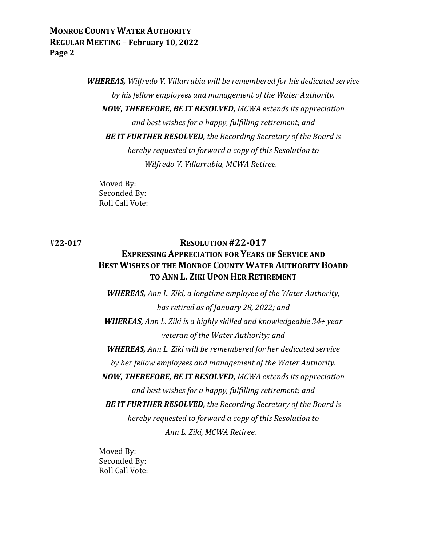> *WHEREAS, Wilfredo V. Villarrubia will be remembered for his dedicated service by his fellow employees and management of the Water Authority. NOW, THEREFORE, BE IT RESOLVED, MCWA extends its appreciation and best wishes for a happy, fulfilling retirement; and BE IT FURTHER RESOLVED, the Recording Secretary of the Board is hereby requested to forward a copy of this Resolution to Wilfredo V. Villarrubia, MCWA Retiree.*

Moved By: Seconded By: Roll Call Vote:

# **#22-017 RESOLUTION #22-017 EXPRESSING APPRECIATION FOR YEARS OF SERVICE AND BEST WISHES OF THE MONROE COUNTY WATER AUTHORITY BOARD TO ANN L. ZIKI UPON HER RETIREMENT**

*WHEREAS, Ann L. Ziki, a longtime employee of the Water Authority, has retired as of January 28, 2022; and WHEREAS, Ann L. Ziki is a highly skilled and knowledgeable 34+ year veteran of the Water Authority; and WHEREAS, Ann L. Ziki will be remembered for her dedicated service by her fellow employees and management of the Water Authority. NOW, THEREFORE, BE IT RESOLVED, MCWA extends its appreciation and best wishes for a happy, fulfilling retirement; and BE IT FURTHER RESOLVED, the Recording Secretary of the Board is hereby requested to forward a copy of this Resolution to Ann L. Ziki, MCWA Retiree.*

Moved By: Seconded By: Roll Call Vote: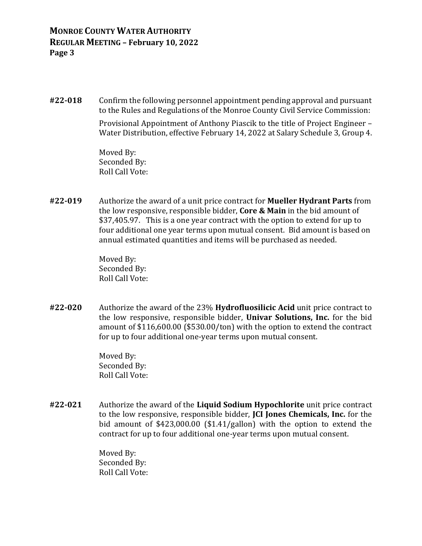**#22-018** Confirm the following personnel appointment pending approval and pursuant to the Rules and Regulations of the Monroe County Civil Service Commission:

> Provisional Appointment of Anthony Piascik to the title of Project Engineer – Water Distribution, effective February 14, 2022 at Salary Schedule 3, Group 4.

Moved By: Seconded By: Roll Call Vote:

**#22-019** Authorize the award of a unit price contract for **Mueller Hydrant Parts** from the low responsive, responsible bidder, **Core & Main** in the bid amount of \$37,405.97. This is a one year contract with the option to extend for up to four additional one year terms upon mutual consent. Bid amount is based on annual estimated quantities and items will be purchased as needed.

> Moved By: Seconded By: Roll Call Vote:

**#22-020** Authorize the award of the 23% **Hydrofluosilicic Acid** unit price contract to the low responsive, responsible bidder, **Univar Solutions, Inc.** for the bid amount of \$116,600.00 (\$530.00/ton) with the option to extend the contract for up to four additional one-year terms upon mutual consent.

> Moved By: Seconded By: Roll Call Vote:

**#22-021** Authorize the award of the **Liquid Sodium Hypochlorite** unit price contract to the low responsive, responsible bidder, **JCI Jones Chemicals, Inc.** for the bid amount of \$423,000.00 (\$1.41/gallon) with the option to extend the contract for up to four additional one-year terms upon mutual consent.

> Moved By: Seconded By: Roll Call Vote: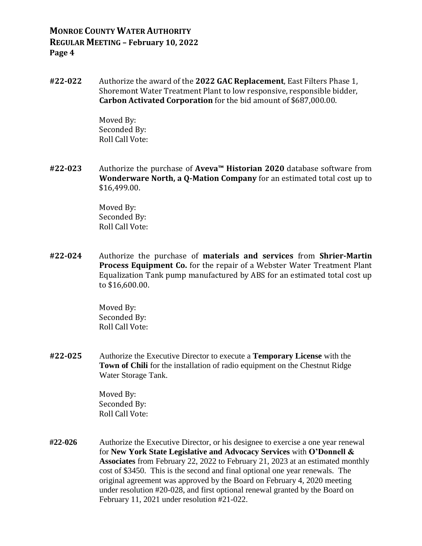**#22-022** Authorize the award of the **2022 GAC Replacement**, East Filters Phase 1, Shoremont Water Treatment Plant to low responsive, responsible bidder, **Carbon Activated Corporation** for the bid amount of \$687,000.00.

> Moved By: Seconded By: Roll Call Vote:

**#22-023** Authorize the purchase of **Aveva™ Historian 2020** database software from **Wonderware North, a Q-Mation Company** for an estimated total cost up to \$16,499.00.

> Moved By: Seconded By: Roll Call Vote:

**#22-024** Authorize the purchase of **materials and services** from **Shrier-Martin Process Equipment Co.** for the repair of a Webster Water Treatment Plant Equalization Tank pump manufactured by ABS for an estimated total cost up to \$16,600.00.

> Moved By: Seconded By: Roll Call Vote:

**#22-025** Authorize the Executive Director to execute a **Temporary License** with the **Town of Chili** for the installation of radio equipment on the Chestnut Ridge Water Storage Tank.

> Moved By: Seconded By: Roll Call Vote:

**#22-026** Authorize the Executive Director, or his designee to exercise a one year renewal for **New York State Legislative and Advocacy Services** with **O'Donnell & Associates** from February 22, 2022 to February 21, 2023 at an estimated monthly cost of \$3450. This is the second and final optional one year renewals. The original agreement was approved by the Board on February 4, 2020 meeting under resolution #20-028, and first optional renewal granted by the Board on February 11, 2021 under resolution #21-022.